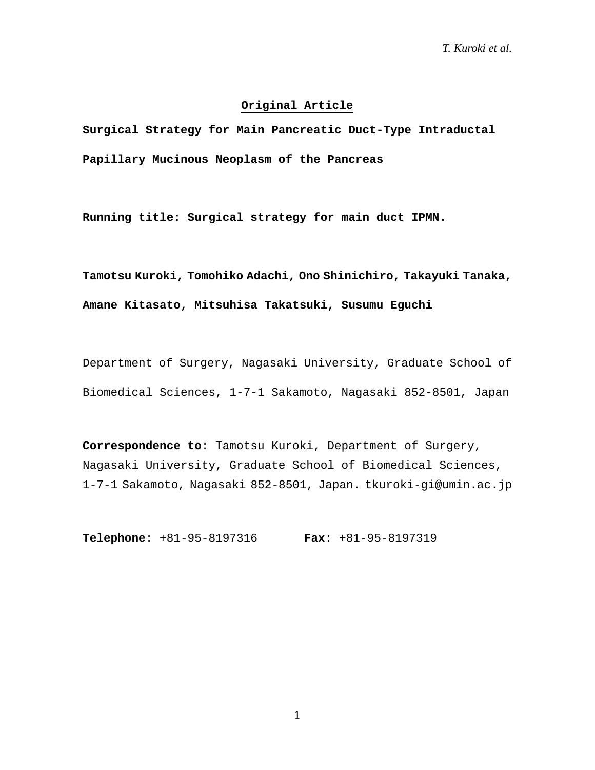# **Original Article**

**Surgical Strategy for Main Pancreatic Duct-Type Intraductal Papillary Mucinous Neoplasm of the Pancreas** 

**Running title: Surgical strategy for main duct IPMN.**

**Tamotsu Kuroki, Tomohiko Adachi, Ono Shinichiro, Takayuki Tanaka, Amane Kitasato, Mitsuhisa Takatsuki, Susumu Eguchi**

Department of Surgery, Nagasaki University, Graduate School of Biomedical Sciences, 1-7-1 Sakamoto, Nagasaki 852-8501, Japan

**Correspondence to**: Tamotsu Kuroki, Department of Surgery, Nagasaki University, Graduate School of Biomedical Sciences, 1-7-1 Sakamoto, Nagasaki 852-8501, Japan. tkuroki-gi@umin.ac.jp

**Telephone**: +81-95-8197316 **Fax**: +81-95-8197319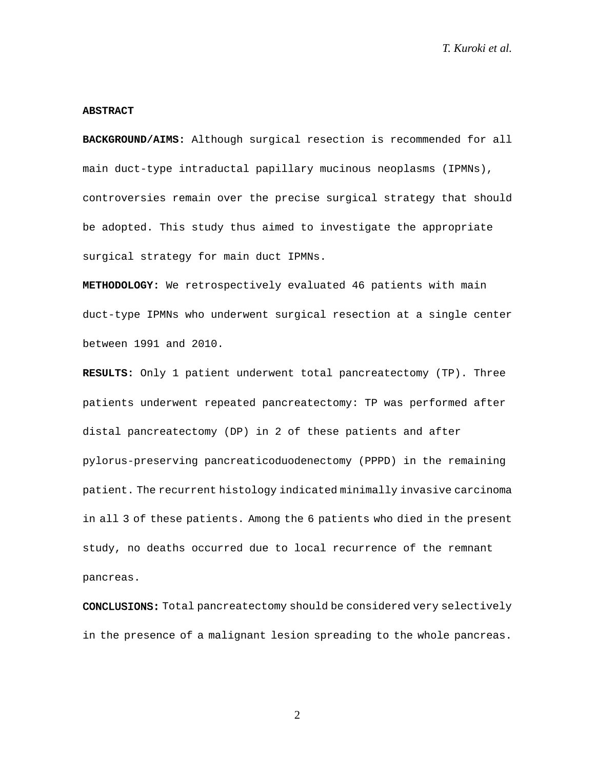#### **ABSTRACT**

**BACKGROUND/AIMS:** Although surgical resection is recommended for all main duct-type intraductal papillary mucinous neoplasms (IPMNs), controversies remain over the precise surgical strategy that should be adopted. This study thus aimed to investigate the appropriate surgical strategy for main duct IPMNs.

**METHODOLOGY:** We retrospectively evaluated 46 patients with main duct-type IPMNs who underwent surgical resection at a single center between 1991 and 2010.

**RESULTS:** Only 1 patient underwent total pancreatectomy (TP). Three patients underwent repeated pancreatectomy: TP was performed after distal pancreatectomy (DP) in 2 of these patients and after pylorus-preserving pancreaticoduodenectomy (PPPD) in the remaining patient. The recurrent histology indicated minimally invasive carcinoma in all 3 of these patients. Among the 6 patients who died in the present study, no deaths occurred due to local recurrence of the remnant pancreas.

CONCLUSIONS: Total pancreatectomy should be considered very selectively in the presence of a malignant lesion spreading to the whole pancreas.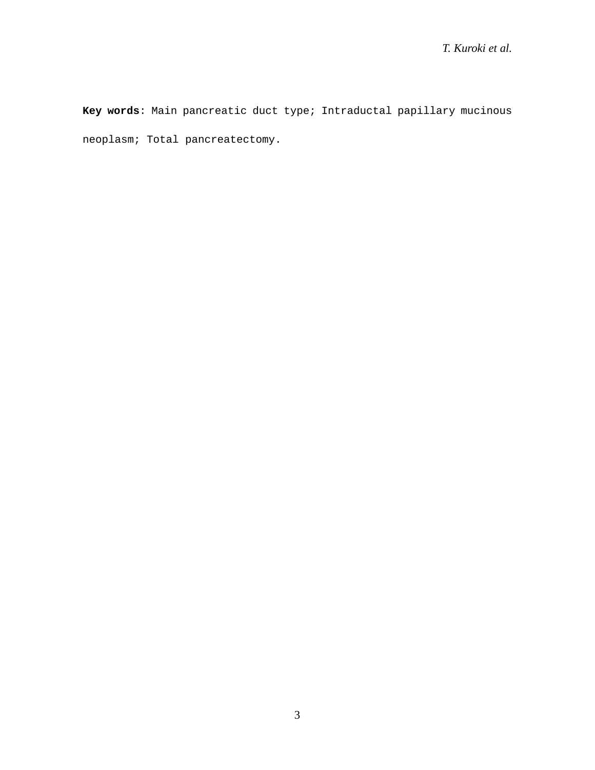**Key words**: Main pancreatic duct type; Intraductal papillary mucinous neoplasm; Total pancreatectomy.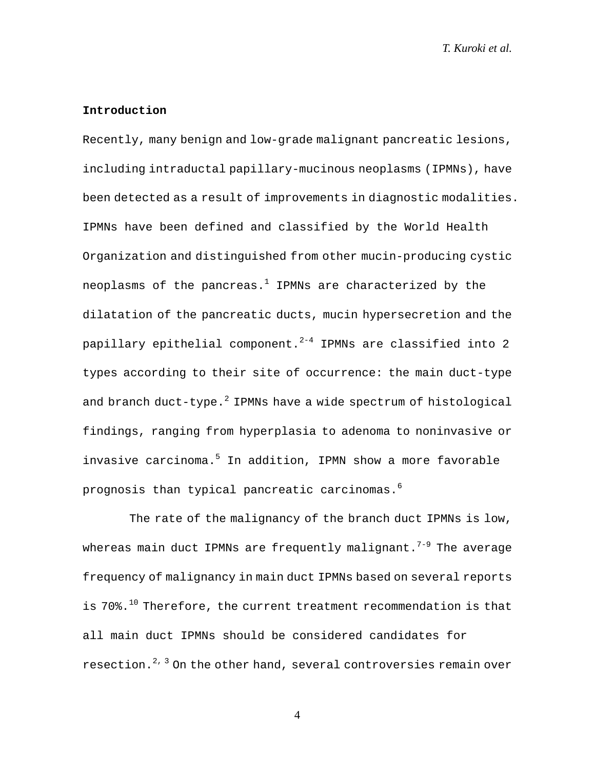# **Introduction**

Recently, many benign and low-grade malignant pancreatic lesions, including intraductal papillary-mucinous neoplasms (IPMNs), have been detected as a result of improvements in diagnostic modalities. IPMNs have been defined and classified by the World Health Organization and distinguished from other mucin-producing cystic neoplasms of the pancreas. $1$  IPMNs are characterized by the dilatation of the pancreatic ducts, mucin hypersecretion and the papillary epithelial component. $2^{-4}$  IPMNs are classified into 2 types according to their site of occurrence: the main duct-type and branch duct-type. $^2$  IPMNs have a wide spectrum of histological findings, ranging from hyperplasia to adenoma to noninvasive or invasive carcinoma.<sup>5</sup> In addition, IPMN show a more favorable prognosis than typical pancreatic carcinomas.6

The rate of the malignancy of the branch duct IPMNs is low, whereas main duct IPMNs are frequently malignant.<sup>7-9</sup> The average frequency of malignancy in main duct IPMNs based on several reports is  $70\%$ .<sup>10</sup> Therefore, the current treatment recommendation is that all main duct IPMNs should be considered candidates for resection.<sup>2, 3</sup> On the other hand, several controversies remain over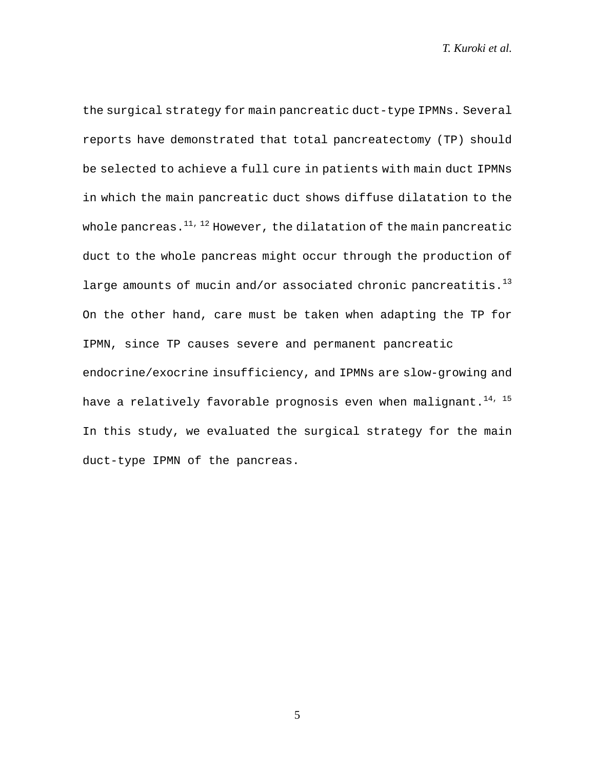the surgical strategy for main pancreatic duct-type IPMNs. Several reports have demonstrated that total pancreatectomy (TP) should be selected to achieve a full cure in patients with main duct IPMNs in which the main pancreatic duct shows diffuse dilatation to the whole pancreas. $^{11, 12}$  However, the dilatation of the main pancreatic duct to the whole pancreas might occur through the production of large amounts of mucin and/or associated chronic pancreatitis. $^{13}$ On the other hand, care must be taken when adapting the TP for IPMN, since TP causes severe and permanent pancreatic endocrine/exocrine insufficiency, and IPMNs are slow-growing and have a relatively favorable prognosis even when malignant.<sup>14, 15</sup> In this study, we evaluated the surgical strategy for the main duct-type IPMN of the pancreas.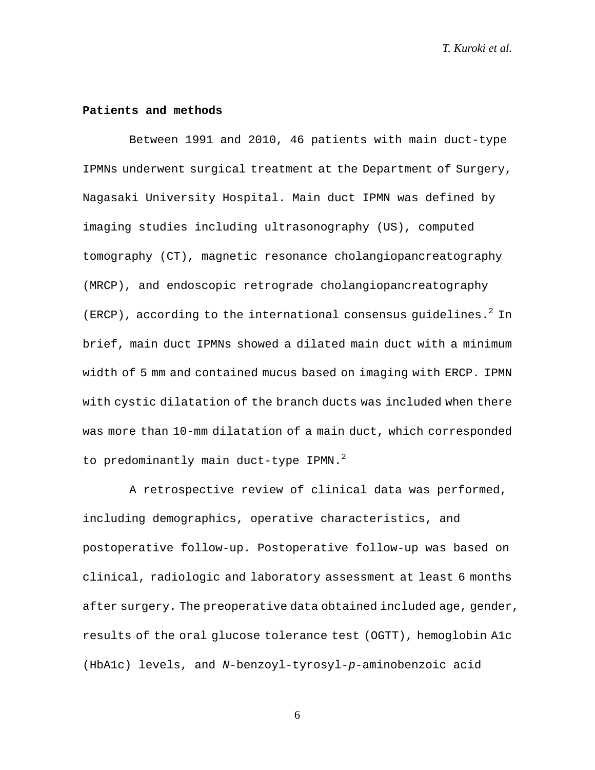### **Patients and methods**

Between 1991 and 2010, 46 patients with main duct-type IPMNs underwent surgical treatment at the Department of Surgery, Nagasaki University Hospital. Main duct IPMN was defined by imaging studies including ultrasonography (US), computed tomography (CT), magnetic resonance cholangiopancreatography (MRCP), and endoscopic retrograde cholangiopancreatography (ERCP), according to the international consensus guidelines.<sup>2</sup> In brief, main duct IPMNs showed a dilated main duct with a minimum width of 5 mm and contained mucus based on imaging with ERCP. IPMN with cystic dilatation of the branch ducts was included when there was more than 10-mm dilatation of a main duct, which corresponded to predominantly main duct-type IPMN. $^{2}$ 

A retrospective review of clinical data was performed, including demographics, operative characteristics, and postoperative follow-up. Postoperative follow-up was based on clinical, radiologic and laboratory assessment at least 6 months after surgery. The preoperative data obtained included age, gender, results of the oral glucose tolerance test (OGTT), hemoglobin A1c (HbA1c) levels, and *N*-benzoyl-tyrosyl-*p*-aminobenzoic acid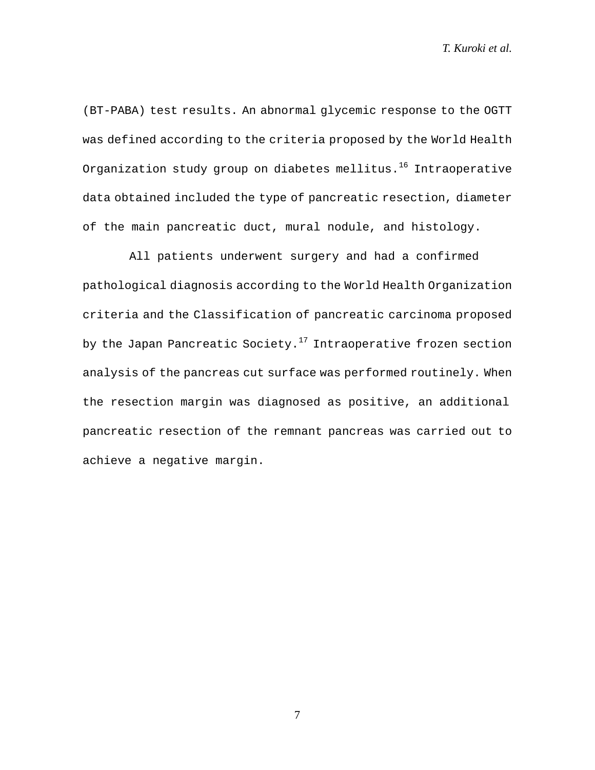(BT-PABA) test results. An abnormal glycemic response to the OGTT was defined according to the criteria proposed by the World Health Organization study group on diabetes mellitus.<sup>16</sup> Intraoperative data obtained included the type of pancreatic resection, diameter of the main pancreatic duct, mural nodule, and histology.

All patients underwent surgery and had a confirmed pathological diagnosis according to the World Health Organization criteria and the Classification of pancreatic carcinoma proposed by the Japan Pancreatic Society.<sup>17</sup> Intraoperative frozen section analysis of the pancreas cut surface was performed routinely. When the resection margin was diagnosed as positive, an additional pancreatic resection of the remnant pancreas was carried out to achieve a negative margin.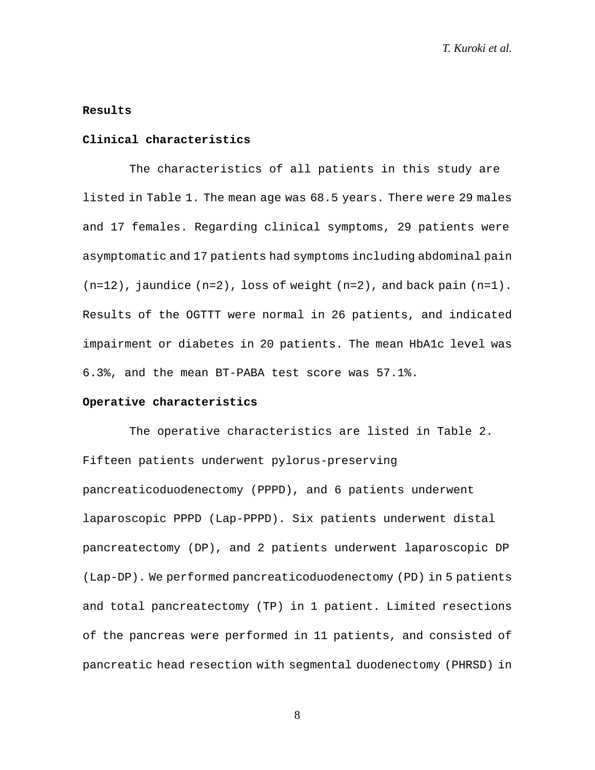# **Results**

# **Clinical characteristics**

The characteristics of all patients in this study are listed in Table 1. The mean age was 68.5 years. There were 29 males and 17 females. Regarding clinical symptoms, 29 patients were asymptomatic and 17 patients had symptoms including abdominal pain  $(n=12)$ , jaundice  $(n=2)$ , loss of weight  $(n=2)$ , and back pain  $(n=1)$ . Results of the OGTTT were normal in 26 patients, and indicated impairment or diabetes in 20 patients. The mean HbA1c level was 6.3%, and the mean BT-PABA test score was 57.1%.

#### **Operative characteristics**

The operative characteristics are listed in Table 2. Fifteen patients underwent pylorus-preserving pancreaticoduodenectomy (PPPD), and 6 patients underwent laparoscopic PPPD (Lap-PPPD). Six patients underwent distal pancreatectomy (DP), and 2 patients underwent laparoscopic DP (Lap-DP). We performed pancreaticoduodenectomy (PD) in 5 patients and total pancreatectomy (TP) in 1 patient. Limited resections of the pancreas were performed in 11 patients, and consisted of pancreatic head resection with segmental duodenectomy (PHRSD) in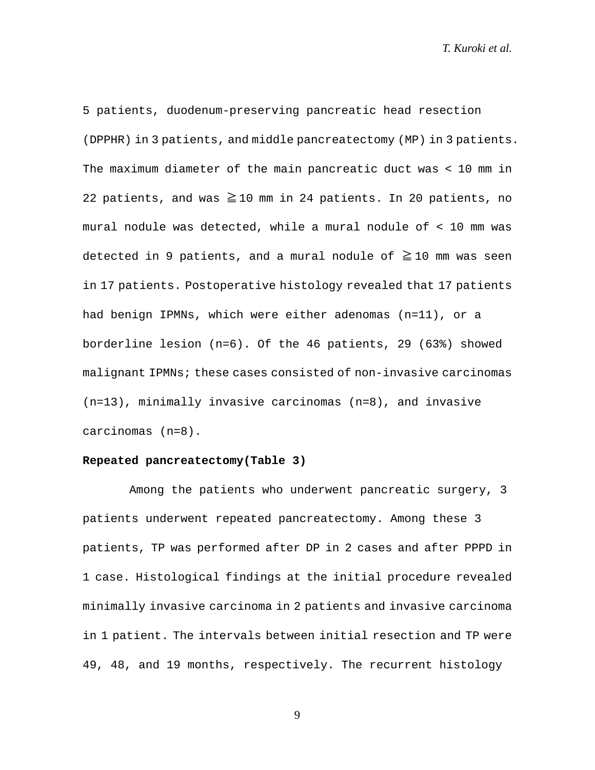5 patients, duodenum-preserving pancreatic head resection (DPPHR) in 3 patients, and middle pancreatectomy (MP) in 3 patients. The maximum diameter of the main pancreatic duct was < 10 mm in 22 patients, and was  $\geq$  10 mm in 24 patients. In 20 patients, no mural nodule was detected, while a mural nodule of < 10 mm was detected in 9 patients, and a mural nodule of  $\geq 10$  mm was seen in 17 patients. Postoperative histology revealed that 17 patients had benign IPMNs, which were either adenomas (n=11), or a borderline lesion (n=6). Of the 46 patients, 29 (63%) showed malignant IPMNs; these cases consisted of non-invasive carcinomas (n=13), minimally invasive carcinomas (n=8), and invasive carcinomas (n=8).

# **Repeated pancreatectomy(Table 3)**

Among the patients who underwent pancreatic surgery, 3 patients underwent repeated pancreatectomy. Among these 3 patients, TP was performed after DP in 2 cases and after PPPD in 1 case. Histological findings at the initial procedure revealed minimally invasive carcinoma in 2 patients and invasive carcinoma in 1 patient. The intervals between initial resection and TP were 49, 48, and 19 months, respectively. The recurrent histology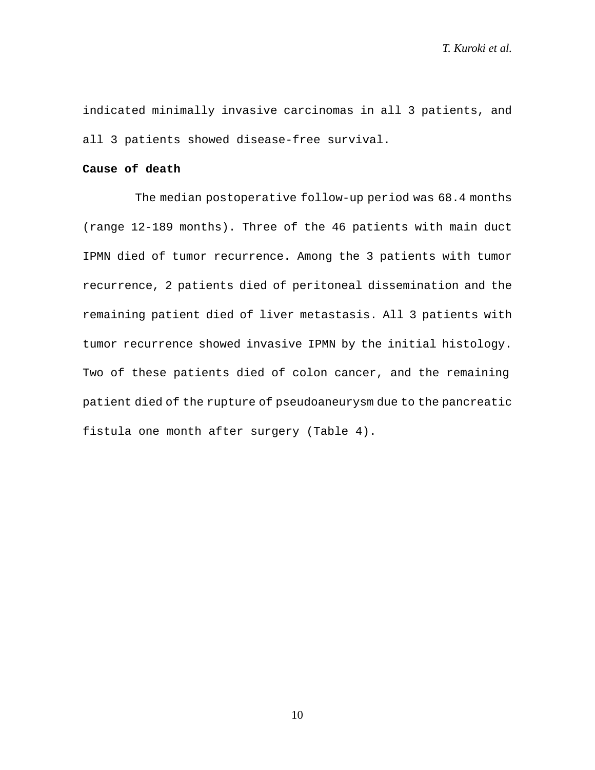indicated minimally invasive carcinomas in all 3 patients, and all 3 patients showed disease-free survival.

# **Cause of death**

The median postoperative follow-up period was 68.4 months (range 12-189 months). Three of the 46 patients with main duct IPMN died of tumor recurrence. Among the 3 patients with tumor recurrence, 2 patients died of peritoneal dissemination and the remaining patient died of liver metastasis. All 3 patients with tumor recurrence showed invasive IPMN by the initial histology. Two of these patients died of colon cancer, and the remaining patient died of the rupture of pseudoaneurysm due to the pancreatic fistula one month after surgery (Table 4).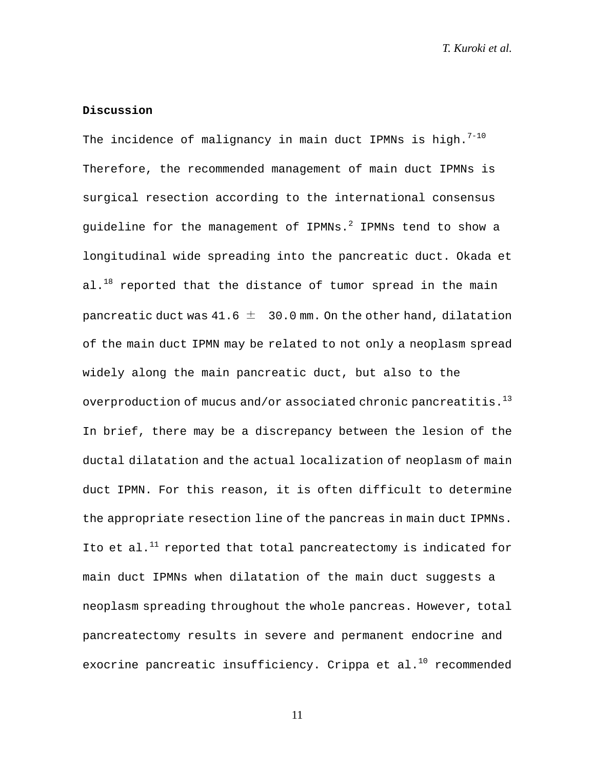# **Discussion**

The incidence of malignancy in main duct IPMNs is high. $7-10$ Therefore, the recommended management of main duct IPMNs is surgical resection according to the international consensus guideline for the management of IPMNs. $^2$  IPMNs tend to show a longitudinal wide spreading into the pancreatic duct. Okada et al. $^{18}$  reported that the distance of tumor spread in the main pancreatic duct was  $41.6 \pm 30.0$  mm. On the other hand, dilatation of the main duct IPMN may be related to not only a neoplasm spread widely along the main pancreatic duct, but also to the overproduction of mucus and/or associated chronic pancreatitis. $13$ In brief, there may be a discrepancy between the lesion of the ductal dilatation and the actual localization of neoplasm of main duct IPMN. For this reason, it is often difficult to determine the appropriate resection line of the pancreas in main duct IPMNs. Ito et al. $^{11}$  reported that total pancreatectomy is indicated for main duct IPMNs when dilatation of the main duct suggests a neoplasm spreading throughout the whole pancreas. However, total pancreatectomy results in severe and permanent endocrine and exocrine pancreatic insufficiency. Crippa et al. $^{10}$  recommended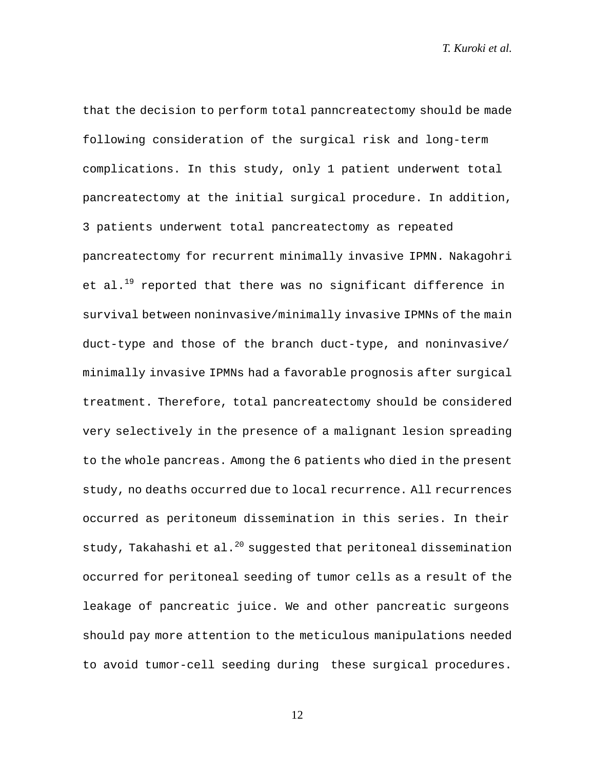that the decision to perform total panncreatectomy should be made following consideration of the surgical risk and long-term complications. In this study, only 1 patient underwent total pancreatectomy at the initial surgical procedure. In addition, 3 patients underwent total pancreatectomy as repeated pancreatectomy for recurrent minimally invasive IPMN. Nakagohri et al.<sup>19</sup> reported that there was no significant difference in survival between noninvasive/minimally invasive IPMNs of the main duct-type and those of the branch duct-type, and noninvasive/ minimally invasive IPMNs had a favorable prognosis after surgical treatment. Therefore, total pancreatectomy should be considered very selectively in the presence of a malignant lesion spreading to the whole pancreas. Among the 6 patients who died in the present study, no deaths occurred due to local recurrence. All recurrences occurred as peritoneum dissemination in this series. In their study, Takahashi et al. $^{20}$  suggested that peritoneal dissemination occurred for peritoneal seeding of tumor cells as a result of the leakage of pancreatic juice. We and other pancreatic surgeons should pay more attention to the meticulous manipulations needed to avoid tumor-cell seeding during these surgical procedures.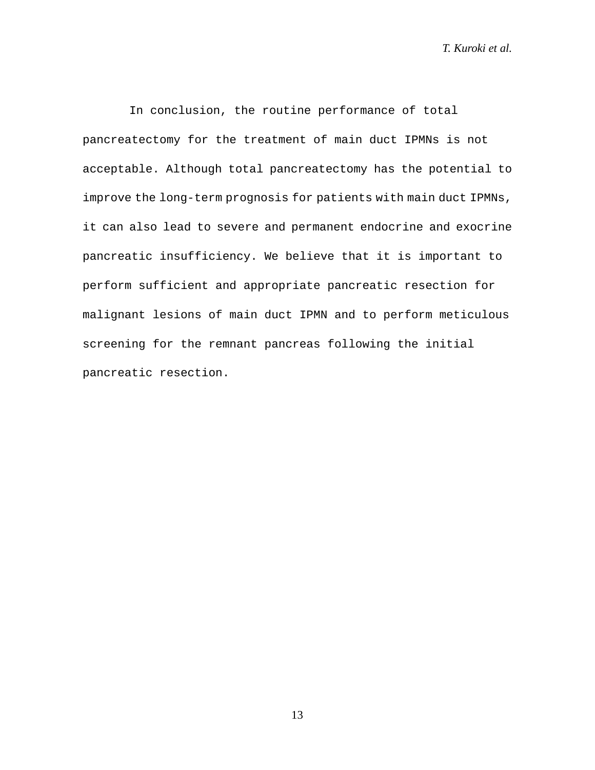In conclusion, the routine performance of total pancreatectomy for the treatment of main duct IPMNs is not acceptable. Although total pancreatectomy has the potential to improve the long-term prognosis for patients with main duct IPMNs, it can also lead to severe and permanent endocrine and exocrine pancreatic insufficiency. We believe that it is important to perform sufficient and appropriate pancreatic resection for malignant lesions of main duct IPMN and to perform meticulous screening for the remnant pancreas following the initial pancreatic resection.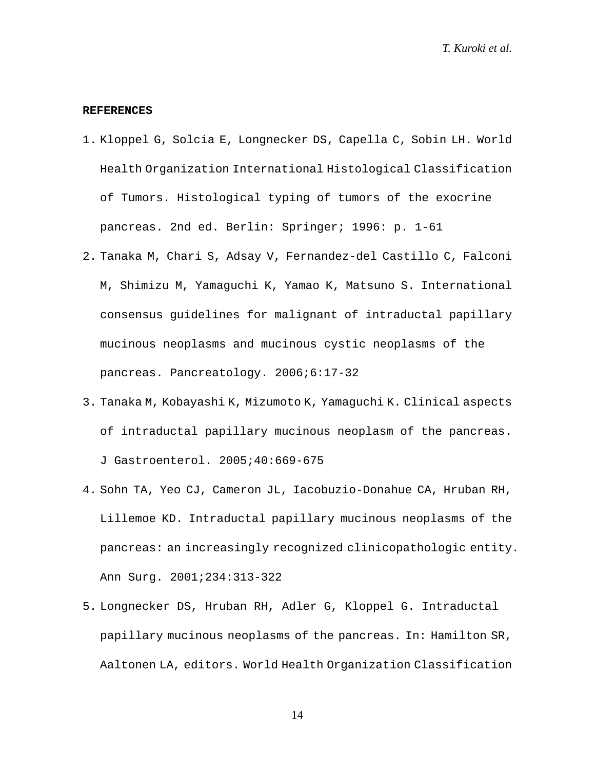#### **REFERENCES**

- 1. Kloppel G, Solcia E, Longnecker DS, Capella C, Sobin LH. World Health Organization International Histological Classification of Tumors. Histological typing of tumors of the exocrine pancreas. 2nd ed. Berlin: Springer; 1996: p. 1-61
- 2. Tanaka M, Chari S, Adsay V, Fernandez-del Castillo C, Falconi M, Shimizu M, Yamaguchi K, Yamao K, Matsuno S. International consensus guidelines for malignant of intraductal papillary mucinous neoplasms and mucinous cystic neoplasms of the pancreas. Pancreatology. 2006;6:17-32
- 3. Tanaka M, Kobayashi K, Mizumoto K, Yamaguchi K. Clinical aspects of intraductal papillary mucinous neoplasm of the pancreas. J Gastroenterol. 2005;40:669-675
- 4. Sohn TA, Yeo CJ, Cameron JL, Iacobuzio-Donahue CA, Hruban RH, Lillemoe KD. Intraductal papillary mucinous neoplasms of the pancreas: an increasingly recognized clinicopathologic entity. Ann Surg. 2001;234:313-322
- 5. Longnecker DS, Hruban RH, Adler G, Kloppel G. Intraductal papillary mucinous neoplasms of the pancreas. In: Hamilton SR, Aaltonen LA, editors. World Health Organization Classification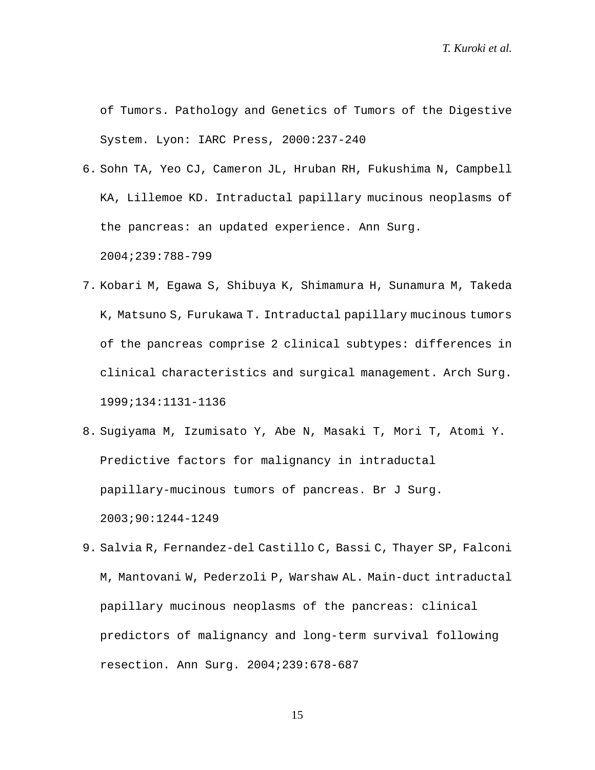of Tumors. Pathology and Genetics of Tumors of the Digestive System. Lyon: IARC Press, 2000:237-240

- 6. Sohn TA, Yeo CJ, Cameron JL, Hruban RH, Fukushima N, Campbell KA, Lillemoe KD. Intraductal papillary mucinous neoplasms of the pancreas: an updated experience. Ann Surg. 2004;239:788-799
- 7. Kobari M, Egawa S, Shibuya K, Shimamura H, Sunamura M, Takeda K, Matsuno S, Furukawa T. Intraductal papillary mucinous tumors of the pancreas comprise 2 clinical subtypes: differences in clinical characteristics and surgical management. Arch Surg. 1999;134:1131-1136
- 8. Sugiyama M, Izumisato Y, Abe N, Masaki T, Mori T, Atomi Y. Predictive factors for malignancy in intraductal papillary-mucinous tumors of pancreas. Br J Surg. 2003;90:1244-1249
- 9. Salvia R, Fernandez-del Castillo C, Bassi C, Thayer SP, Falconi M, Mantovani W, Pederzoli P, Warshaw AL. Main-duct intraductal papillary mucinous neoplasms of the pancreas: clinical predictors of malignancy and long-term survival following resection. Ann Surg. 2004;239:678-687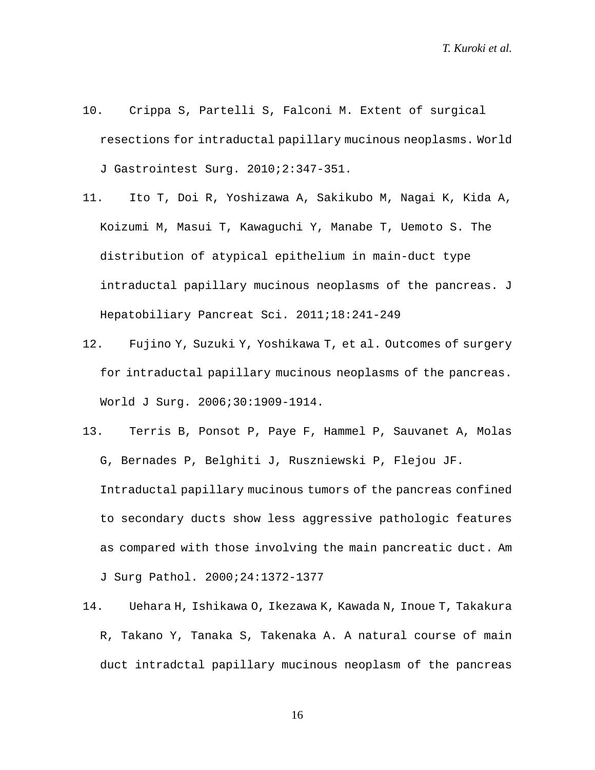- 10. Crippa S, Partelli S, Falconi M. Extent of surgical resections for intraductal papillary mucinous neoplasms. World J Gastrointest Surg. 2010;2:347-351.
- 11. Ito T, Doi R, Yoshizawa A, Sakikubo M, Nagai K, Kida A, Koizumi M, Masui T, Kawaguchi Y, Manabe T, Uemoto S. The distribution of atypical epithelium in main-duct type intraductal papillary mucinous neoplasms of the pancreas. J Hepatobiliary Pancreat Sci. 2011;18:241-249
- 12. Fujino Y, Suzuki Y, Yoshikawa T, et al. Outcomes of surgery for intraductal papillary mucinous neoplasms of the pancreas. World J Surg. 2006;30:1909-1914.
- 13. Terris B, Ponsot P, Paye F, Hammel P, Sauvanet A, Molas G, Bernades P, Belghiti J, Ruszniewski P, Flejou JF. Intraductal papillary mucinous tumors of the pancreas confined to secondary ducts show less aggressive pathologic features as compared with those involving the main pancreatic duct. Am J Surg Pathol. 2000;24:1372-1377
- 14. Uehara H, Ishikawa O, Ikezawa K, Kawada N, Inoue T, Takakura R, Takano Y, Tanaka S, Takenaka A. A natural course of main duct intradctal papillary mucinous neoplasm of the pancreas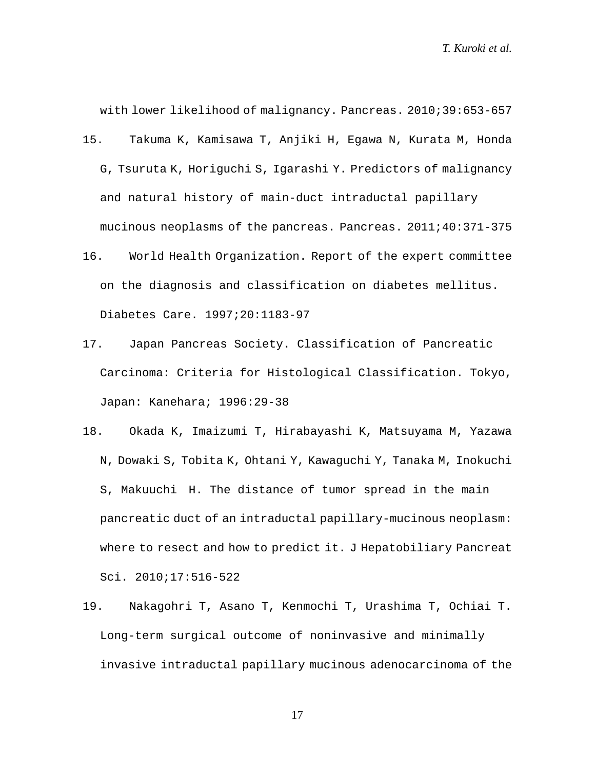with lower likelihood of malignancy. Pancreas. 2010;39:653-657

- 15. Takuma K, Kamisawa T, Anjiki H, Egawa N, Kurata M, Honda G, Tsuruta K, Horiguchi S, Igarashi Y. Predictors of malignancy and natural history of main-duct intraductal papillary mucinous neoplasms of the pancreas. Pancreas. 2011;40:371-375
- 16. World Health Organization. Report of the expert committee on the diagnosis and classification on diabetes mellitus. Diabetes Care. 1997;20:1183-97
- 17. Japan Pancreas Society. Classification of Pancreatic Carcinoma: Criteria for Histological Classification. Tokyo, Japan: Kanehara; 1996:29-38
- 18. Okada K, Imaizumi T, Hirabayashi K, Matsuyama M, Yazawa N, Dowaki S, Tobita K, Ohtani Y, Kawaguchi Y, Tanaka M, Inokuchi S, Makuuchi H. The distance of tumor spread in the main pancreatic duct of an intraductal papillary-mucinous neoplasm: where to resect and how to predict it. J Hepatobiliary Pancreat Sci. 2010;17:516-522
- 19. Nakagohri T, Asano T, Kenmochi T, Urashima T, Ochiai T. Long-term surgical outcome of noninvasive and minimally invasive intraductal papillary mucinous adenocarcinoma of the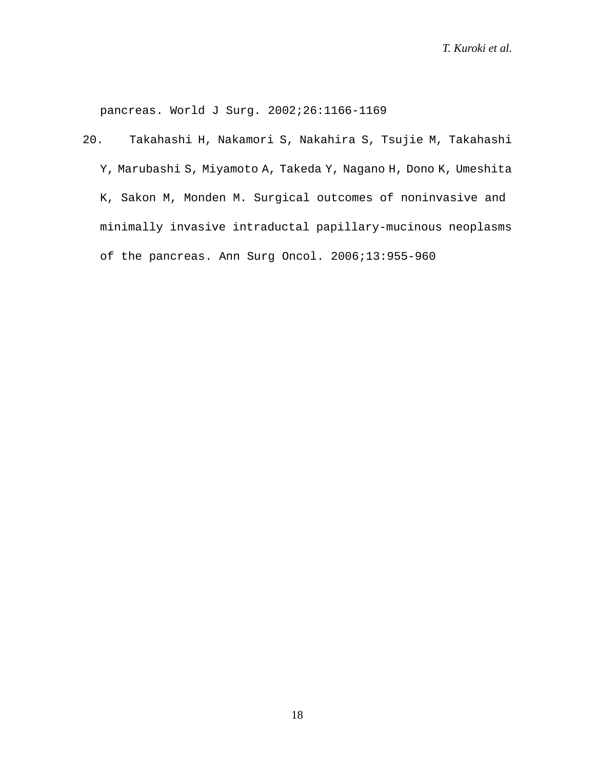pancreas. World J Surg. 2002;26:1166-1169

20. Takahashi H, Nakamori S, Nakahira S, Tsujie M, Takahashi Y, Marubashi S, Miyamoto A, Takeda Y, Nagano H, Dono K, Umeshita K, Sakon M, Monden M. Surgical outcomes of noninvasive and minimally invasive intraductal papillary-mucinous neoplasms of the pancreas. Ann Surg Oncol. 2006;13:955-960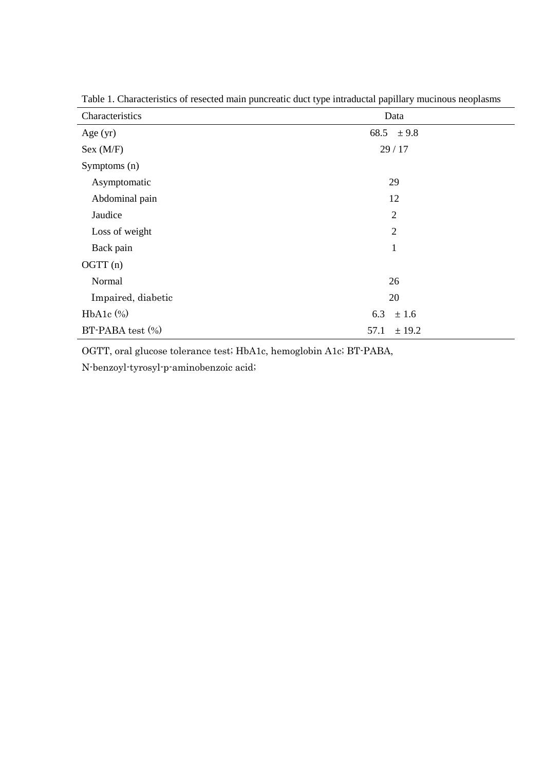| Characteristics    | Data           |  |
|--------------------|----------------|--|
| Age $(yr)$         | 68.5 $\pm 9.8$ |  |
| Sex (M/F)          | 29/17          |  |
| Symptoms (n)       |                |  |
| Asymptomatic       | 29             |  |
| Abdominal pain     | 12             |  |
| Jaudice            | $\overline{2}$ |  |
| Loss of weight     | $\overline{2}$ |  |
| Back pain          | $\mathbf{1}$   |  |
| OGTT (n)           |                |  |
| Normal             | 26             |  |
| Impaired, diabetic | 20             |  |
| $HbA1c$ $%$        | 6.3<br>± 1.6   |  |
| BT-PABA test (%)   | 57.1<br>± 19.2 |  |

Table 1. Characteristics of resected main puncreatic duct type intraductal papillary mucinous neoplasms

OGTT, oral glucose tolerance test; HbA1c, hemoglobin A1c; BT-PABA,

N-benzoyl-tyrosyl-p-aminobenzoic acid;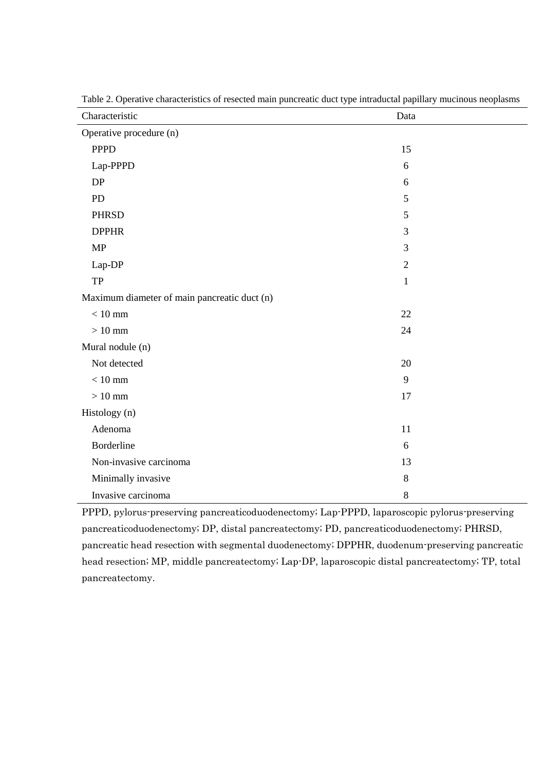| Characteristic                               | Data             |  |
|----------------------------------------------|------------------|--|
| Operative procedure (n)                      |                  |  |
| <b>PPPD</b>                                  | 15               |  |
| Lap-PPPD                                     | 6                |  |
| DP                                           | 6                |  |
| PD                                           | 5                |  |
| <b>PHRSD</b>                                 | $\mathfrak{S}$   |  |
| <b>DPPHR</b>                                 | $\mathfrak{Z}$   |  |
| MP                                           | 3                |  |
| Lap-DP                                       | $\boldsymbol{2}$ |  |
| TP                                           | $\mathbf{1}$     |  |
| Maximum diameter of main pancreatic duct (n) |                  |  |
| $<10\;\mathrm{mm}$                           | 22               |  |
| $>10\;\mathrm{mm}$                           | 24               |  |
| Mural nodule (n)                             |                  |  |
| Not detected                                 | 20               |  |
| $< 10$ mm                                    | 9                |  |
| $>10$ mm                                     | 17               |  |
| Histology (n)                                |                  |  |
| Adenoma                                      | 11               |  |
| Borderline                                   | 6                |  |
| Non-invasive carcinoma                       | 13               |  |
| Minimally invasive                           | $\,8\,$          |  |
| Invasive carcinoma                           | $\,8\,$          |  |

Table 2. Operative characteristics of resected main puncreatic duct type intraductal papillary mucinous neoplasms

PPPD, pylorus-preserving pancreaticoduodenectomy; Lap-PPPD, laparoscopic pylorus-preserving pancreaticoduodenectomy; DP, distal pancreatectomy; PD, pancreaticoduodenectomy; PHRSD, pancreatic head resection with segmental duodenectomy; DPPHR, duodenum-preserving pancreatic head resection; MP, middle pancreatectomy; Lap-DP, laparoscopic distal pancreatectomy; TP, total pancreatectomy.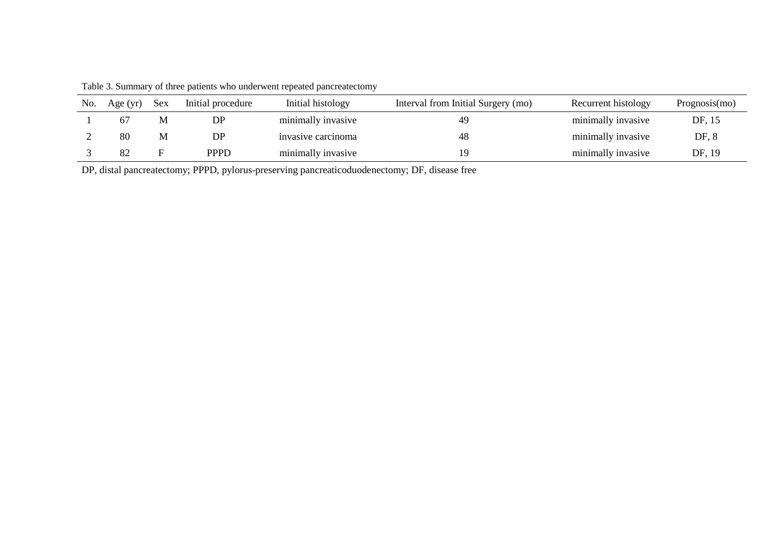Table 3. Summary of three patients who underwent repeated pancreatectomy

| No. | Age (yr) | <b>Sex</b> | Initial procedure | Initial histology  | Interval from Initial Surgery (mo) | Recurrent histology | Programosis(mo) |
|-----|----------|------------|-------------------|--------------------|------------------------------------|---------------------|-----------------|
|     | 67       | М          | DP                | minimally invasive | 49                                 | minimally invasive  | DF, 15          |
|     | 80       | М          | DP.               | invasive carcinoma |                                    | minimally invasive  | DF, 8           |
|     |          |            | <b>PPPD</b>       | minimally invasive |                                    | minimally invasive  | DF, 19          |

DP, distal pancreatectomy; PPPD, pylorus-preserving pancreaticoduodenectomy; DF, disease free